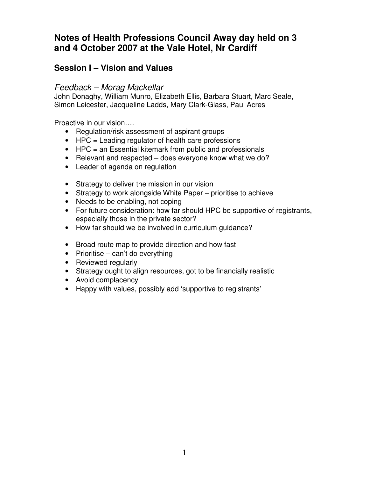# **Notes of Health Professions Council Away day held on 3 and 4 October 2007 at the Vale Hotel, Nr Cardiff**

# **Session I – Vision and Values**

### Feedback – Morag Mackellar

John Donaghy, William Munro, Elizabeth Ellis, Barbara Stuart, Marc Seale, Simon Leicester, Jacqueline Ladds, Mary Clark-Glass, Paul Acres

Proactive in our vision….

- Regulation/risk assessment of aspirant groups
- HPC = Leading regulator of health care professions
- HPC = an Essential kitemark from public and professionals
- Relevant and respected does everyone know what we do?
- Leader of agenda on regulation
- Strategy to deliver the mission in our vision
- Strategy to work alongside White Paper prioritise to achieve
- Needs to be enabling, not coping
- For future consideration: how far should HPC be supportive of registrants, especially those in the private sector?
- How far should we be involved in curriculum quidance?
- Broad route map to provide direction and how fast
- Prioritise can't do everything
- Reviewed regularly
- Strategy ought to align resources, got to be financially realistic
- Avoid complacency
- Happy with values, possibly add 'supportive to registrants'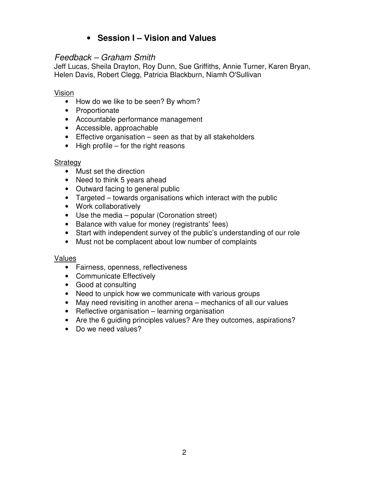# • **Session I – Vision and Values**

### Feedback – Graham Smith

Jeff Lucas, Sheila Drayton, Roy Dunn, Sue Griffiths, Annie Turner, Karen Bryan, Helen Davis, Robert Clegg, Patricia Blackburn, Niamh O'Sullivan

#### Vision

- How do we like to be seen? By whom?
- Proportionate
- Accountable performance management
- Accessible, approachable
- Effective organisation seen as that by all stakeholders
- High profile for the right reasons

### Strategy

- Must set the direction
- Need to think 5 years ahead
- Outward facing to general public
- Targeted towards organisations which interact with the public
- Work collaboratively
- Use the media popular (Coronation street)
- Balance with value for money (registrants' fees)
- Start with independent survey of the public's understanding of our role
- Must not be complacent about low number of complaints

### Values

- Fairness, openness, reflectiveness
- Communicate Effectively
- Good at consulting
- Need to unpick how we communicate with various groups
- May need revisiting in another arena mechanics of all our values
- Reflective organisation learning organisation
- Are the 6 guiding principles values? Are they outcomes, aspirations?
- Do we need values?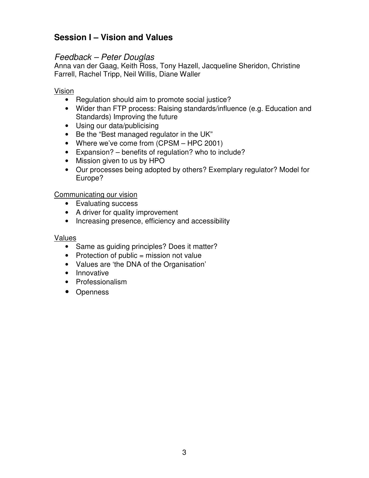# **Session I – Vision and Values**

### Feedback – Peter Douglas

Anna van der Gaag, Keith Ross, Tony Hazell, Jacqueline Sheridon, Christine Farrell, Rachel Tripp, Neil Willis, Diane Waller

#### Vision

- Regulation should aim to promote social justice?
- Wider than FTP process: Raising standards/influence (e.g. Education and Standards) Improving the future
- Using our data/publicising
- Be the "Best managed regulator in the UK"
- Where we've come from (CPSM HPC 2001)
- Expansion? benefits of regulation? who to include?
- Mission given to us by HPO
- Our processes being adopted by others? Exemplary regulator? Model for Europe?

#### Communicating our vision

- Evaluating success
- A driver for quality improvement
- Increasing presence, efficiency and accessibility

#### Values

- Same as guiding principles? Does it matter?
- Protection of public  $=$  mission not value
- Values are 'the DNA of the Organisation'
- Innovative
- Professionalism
- Openness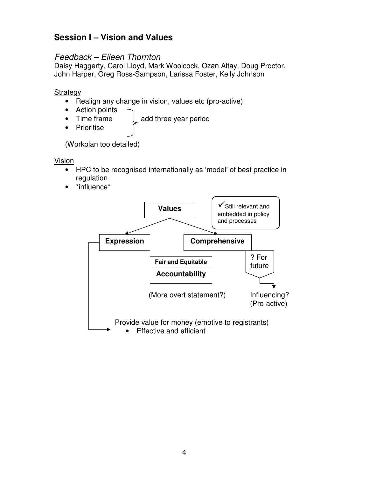# **Session I – Vision and Values**

### Feedback – Eileen Thornton

Daisy Haggerty, Carol Lloyd, Mark Woolcock, Ozan Altay, Doug Proctor, John Harper, Greg Ross-Sampson, Larissa Foster, Kelly Johnson

#### **Strategy**

- Realign any change in vision, values etc (pro-active)
- Action points
- Time frame  $\left\lfloor \right\rfloor$  add three year period
- Prioritise

(Workplan too detailed)

Vision

- HPC to be recognised internationally as 'model' of best practice in regulation
- \*influence\*

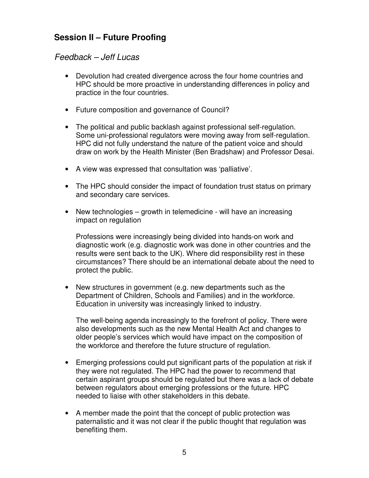# **Session II – Future Proofing**

## Feedback – Jeff Lucas

- Devolution had created divergence across the four home countries and HPC should be more proactive in understanding differences in policy and practice in the four countries.
- Future composition and governance of Council?
- The political and public backlash against professional self-regulation. Some uni-professional regulators were moving away from self-regulation. HPC did not fully understand the nature of the patient voice and should draw on work by the Health Minister (Ben Bradshaw) and Professor Desai.
- A view was expressed that consultation was 'palliative'.
- The HPC should consider the impact of foundation trust status on primary and secondary care services.
- New technologies growth in telemedicine will have an increasing impact on regulation

Professions were increasingly being divided into hands-on work and diagnostic work (e.g. diagnostic work was done in other countries and the results were sent back to the UK). Where did responsibility rest in these circumstances? There should be an international debate about the need to protect the public.

• New structures in government (e.g. new departments such as the Department of Children, Schools and Families) and in the workforce. Education in university was increasingly linked to industry.

The well-being agenda increasingly to the forefront of policy. There were also developments such as the new Mental Health Act and changes to older people's services which would have impact on the composition of the workforce and therefore the future structure of regulation.

- Emerging professions could put significant parts of the population at risk if they were not regulated. The HPC had the power to recommend that certain aspirant groups should be regulated but there was a lack of debate between regulators about emerging professions or the future. HPC needed to liaise with other stakeholders in this debate.
- A member made the point that the concept of public protection was paternalistic and it was not clear if the public thought that regulation was benefiting them.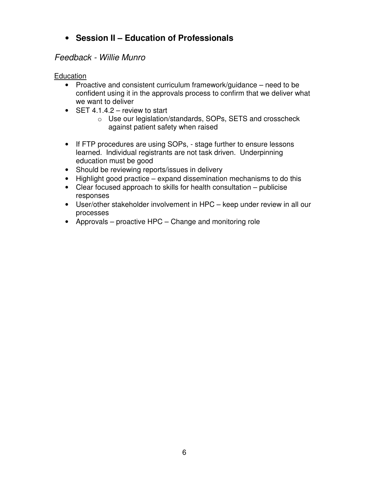# • **Session II – Education of Professionals**

### Feedback - Willie Munro

#### **Education**

- Proactive and consistent curriculum framework/guidance need to be confident using it in the approvals process to confirm that we deliver what we want to deliver
- SET  $4.1.4.2$  review to start
	- o Use our legislation/standards, SOPs, SETS and crosscheck against patient safety when raised
- If FTP procedures are using SOPs, stage further to ensure lessons learned. Individual registrants are not task driven. Underpinning education must be good
- Should be reviewing reports/issues in delivery
- Highlight good practice expand dissemination mechanisms to do this
- Clear focused approach to skills for health consultation publicise responses
- User/other stakeholder involvement in HPC keep under review in all our processes
- Approvals proactive HPC Change and monitoring role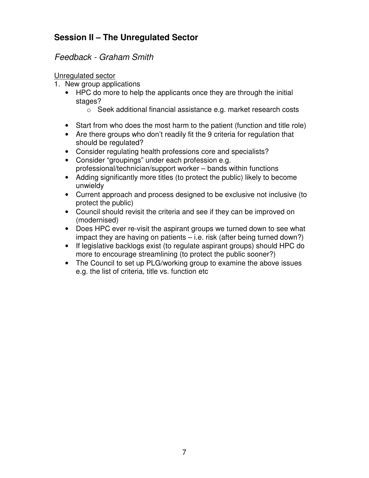# **Session II – The Unregulated Sector**

## Feedback - Graham Smith

### Unregulated sector

- 1. New group applications
	- HPC do more to help the applicants once they are through the initial stages?
		- o Seek additional financial assistance e.g. market research costs
	- Start from who does the most harm to the patient (function and title role)
	- Are there groups who don't readily fit the 9 criteria for regulation that should be regulated?
	- Consider regulating health professions core and specialists?
	- Consider "groupings" under each profession e.g. professional/technician/support worker – bands within functions
	- Adding significantly more titles (to protect the public) likely to become unwieldy
	- Current approach and process designed to be exclusive not inclusive (to protect the public)
	- Council should revisit the criteria and see if they can be improved on (modernised)
	- Does HPC ever re-visit the aspirant groups we turned down to see what impact they are having on patients – i.e. risk (after being turned down?)
	- If legislative backlogs exist (to regulate aspirant groups) should HPC do more to encourage streamlining (to protect the public sooner?)
	- The Council to set up PLG/working group to examine the above issues e.g. the list of criteria, title vs. function etc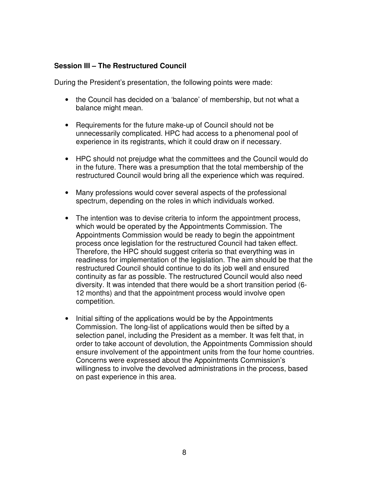During the President's presentation, the following points were made:

- the Council has decided on a 'balance' of membership, but not what a balance might mean.
- Requirements for the future make-up of Council should not be unnecessarily complicated. HPC had access to a phenomenal pool of experience in its registrants, which it could draw on if necessary.
- HPC should not prejudge what the committees and the Council would do in the future. There was a presumption that the total membership of the restructured Council would bring all the experience which was required.
- Many professions would cover several aspects of the professional spectrum, depending on the roles in which individuals worked.
- The intention was to devise criteria to inform the appointment process, which would be operated by the Appointments Commission. The Appointments Commission would be ready to begin the appointment process once legislation for the restructured Council had taken effect. Therefore, the HPC should suggest criteria so that everything was in readiness for implementation of the legislation. The aim should be that the restructured Council should continue to do its job well and ensured continuity as far as possible. The restructured Council would also need diversity. It was intended that there would be a short transition period (6- 12 months) and that the appointment process would involve open competition.
- Initial sifting of the applications would be by the Appointments Commission. The long-list of applications would then be sifted by a selection panel, including the President as a member. It was felt that, in order to take account of devolution, the Appointments Commission should ensure involvement of the appointment units from the four home countries. Concerns were expressed about the Appointments Commission's willingness to involve the devolved administrations in the process, based on past experience in this area.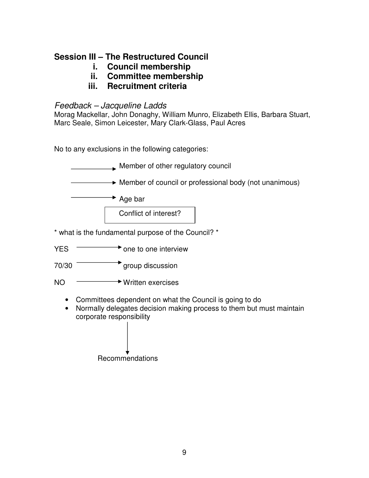- **i. Council membership**
- **ii. Committee membership**
- **iii. Recruitment criteria**

# Feedback – Jacqueline Ladds

Morag Mackellar, John Donaghy, William Munro, Elizabeth Ellis, Barbara Stuart, Marc Seale, Simon Leicester, Mary Clark-Glass, Paul Acres

No to any exclusions in the following categories:

|            | Member of other regulatory council                                                                                                                          |
|------------|-------------------------------------------------------------------------------------------------------------------------------------------------------------|
|            | $\rightarrow$ Member of council or professional body (not unanimous)                                                                                        |
|            | <b>►</b> Age bar                                                                                                                                            |
|            | Conflict of interest?                                                                                                                                       |
|            | * what is the fundamental purpose of the Council? *                                                                                                         |
| <b>YES</b> | one to one interview                                                                                                                                        |
| 70/30      | group discussion                                                                                                                                            |
| <b>NO</b>  | <b>★ Written exercises</b>                                                                                                                                  |
|            | Committees dependent on what the Council is going to do<br>Normally delegates decision making process to them but must maintain<br>corporate responsibility |
|            | Recommendations                                                                                                                                             |
|            |                                                                                                                                                             |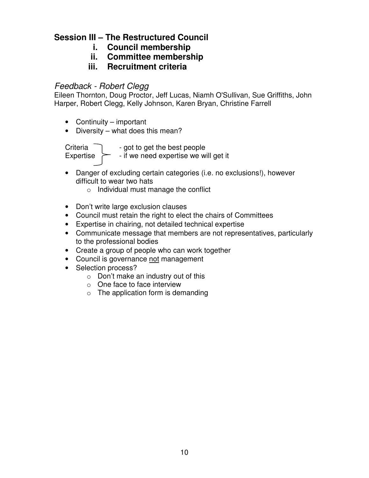- **i. Council membership**
- **ii. Committee membership**
- **iii. Recruitment criteria**

### Feedback - Robert Clegg

Eileen Thornton, Doug Proctor, Jeff Lucas, Niamh O'Sullivan, Sue Griffiths, John Harper, Robert Clegg, Kelly Johnson, Karen Bryan, Christine Farrell

- Continuity important
- Diversity what does this mean?

Criteria  $\Box$  - got to get the best people Expertise  $\geq$  - if we need expertise we will get it

- Danger of excluding certain categories (i.e. no exclusions!), however difficult to wear two hats
	- o Individual must manage the conflict
- Don't write large exclusion clauses
- Council must retain the right to elect the chairs of Committees
- Expertise in chairing, not detailed technical expertise
- Communicate message that members are not representatives, particularly to the professional bodies
- Create a group of people who can work together
- Council is governance not management
- Selection process?
	- $\circ$  Don't make an industry out of this
	- o One face to face interview
	- $\circ$  The application form is demanding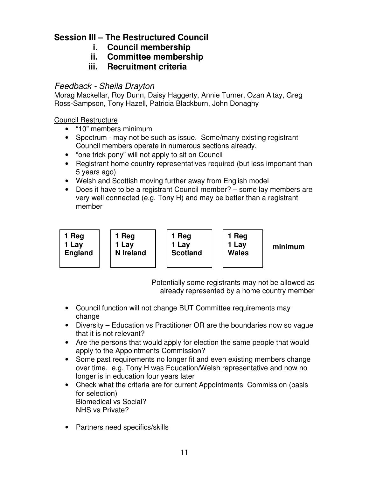- **i. Council membership**
- **ii. Committee membership**
- **iii. Recruitment criteria**

## Feedback - Sheila Drayton

Morag Mackellar, Roy Dunn, Daisy Haggerty, Annie Turner, Ozan Altay, Greg Ross-Sampson, Tony Hazell, Patricia Blackburn, John Donaghy

Council Restructure

- "10" members minimum
- Spectrum may not be such as issue. Some/many existing registrant Council members operate in numerous sections already.
- "one trick pony" will not apply to sit on Council
- Registrant home country representatives required (but less important than 5 years ago)
- Welsh and Scottish moving further away from English model
- Does it have to be a registrant Council member? some lay members are very well connected (e.g. Tony H) and may be better than a registrant member

| 1 Reg   |
|---------|
| 1 Lay   |
| England |
|         |

**1 Reg 1 Lay N Ireland** 



**1 Reg 1 Lay Wales** 

**minimum**

Potentially some registrants may not be allowed as already represented by a home country member

- Council function will not change BUT Committee requirements may change
- Diversity Education vs Practitioner OR are the boundaries now so vague that it is not relevant?
- Are the persons that would apply for election the same people that would apply to the Appointments Commission?
- Some past requirements no longer fit and even existing members change over time. e.g. Tony H was Education/Welsh representative and now no longer is in education four years later
- Check what the criteria are for current Appointments Commission (basis for selection) Biomedical vs Social? NHS vs Private?
- Partners need specifics/skills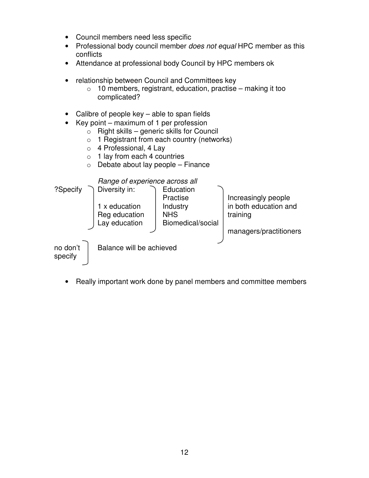- Council members need less specific
- Professional body council member does not equal HPC member as this conflicts
- Attendance at professional body Council by HPC members ok
- relationship between Council and Committees key
	- $\circ$  10 members, registrant, education, practise making it too complicated?
- Calibre of people key able to span fields
- Key point maximum of 1 per profession
	- $\circ$  Right skills generic skills for Council
	- o 1 Registrant from each country (networks)
	- o 4 Professional, 4 Lay
	- o 1 lay from each 4 countries
	- $\circ$  Debate about lay people Finance



• Really important work done by panel members and committee members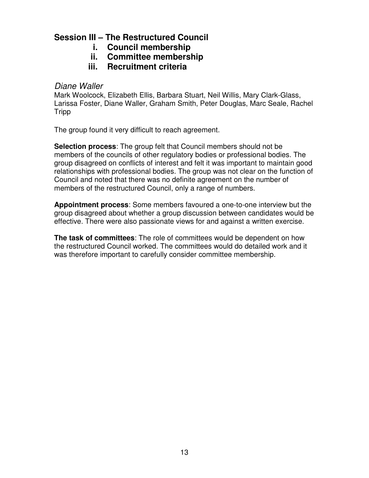- **i. Council membership**
- **ii. Committee membership**
- **iii. Recruitment criteria**

### Diane Waller

Mark Woolcock, Elizabeth Ellis, Barbara Stuart, Neil Willis, Mary Clark-Glass, Larissa Foster, Diane Waller, Graham Smith, Peter Douglas, Marc Seale, Rachel Tripp

The group found it very difficult to reach agreement.

**Selection process**: The group felt that Council members should not be members of the councils of other regulatory bodies or professional bodies. The group disagreed on conflicts of interest and felt it was important to maintain good relationships with professional bodies. The group was not clear on the function of Council and noted that there was no definite agreement on the number of members of the restructured Council, only a range of numbers.

**Appointment process**: Some members favoured a one-to-one interview but the group disagreed about whether a group discussion between candidates would be effective. There were also passionate views for and against a written exercise.

**The task of committees**: The role of committees would be dependent on how the restructured Council worked. The committees would do detailed work and it was therefore important to carefully consider committee membership.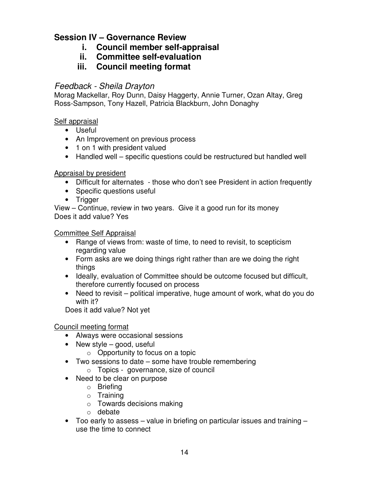- **i. Council member self-appraisal**
- **ii. Committee self-evaluation**
- **iii. Council meeting format**

### Feedback - Sheila Drayton

Morag Mackellar, Roy Dunn, Daisy Haggerty, Annie Turner, Ozan Altay, Greg Ross-Sampson, Tony Hazell, Patricia Blackburn, John Donaghy

### Self appraisal

- Useful
- An Improvement on previous process
- 1 on 1 with president valued
- Handled well specific questions could be restructured but handled well

### Appraisal by president

- Difficult for alternates those who don't see President in action frequently
- Specific questions useful
- Trigger

View – Continue, review in two years. Give it a good run for its money Does it add value? Yes

#### Committee Self Appraisal

- Range of views from: waste of time, to need to revisit, to scepticism regarding value
- Form asks are we doing things right rather than are we doing the right things
- Ideally, evaluation of Committee should be outcome focused but difficult, therefore currently focused on process
- Need to revisit political imperative, huge amount of work, what do you do with it?

Does it add value? Not yet

#### Council meeting format

- Always were occasional sessions
- New style good, useful
	- $\circ$  Opportunity to focus on a topic
- Two sessions to date some have trouble remembering
	- o Topics governance, size of council
- Need to be clear on purpose
	- o Briefing
	- o Training
	- o Towards decisions making
	- o debate
- Too early to assess value in briefing on particular issues and training use the time to connect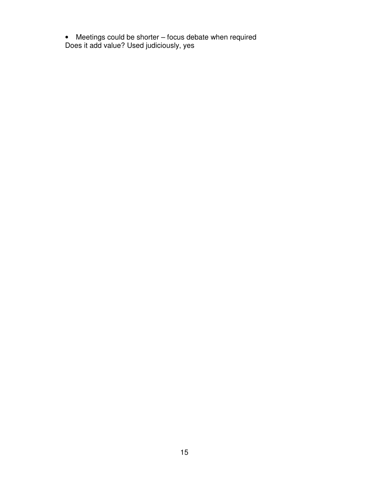• Meetings could be shorter – focus debate when required Does it add value? Used judiciously, yes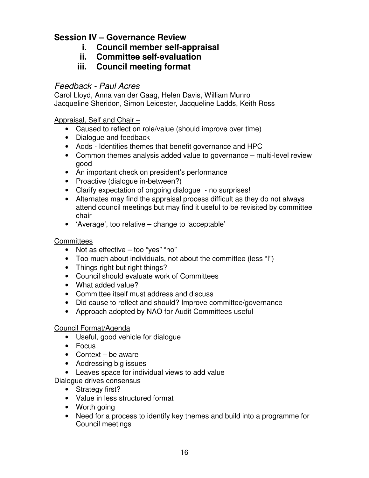- **i. Council member self-appraisal**
- **ii. Committee self-evaluation**
- **iii. Council meeting format**

## Feedback - Paul Acres

Carol Lloyd, Anna van der Gaag, Helen Davis, William Munro Jacqueline Sheridon, Simon Leicester, Jacqueline Ladds, Keith Ross

Appraisal, Self and Chair –

- Caused to reflect on role/value (should improve over time)
- Dialogue and feedback
- Adds Identifies themes that benefit governance and HPC
- Common themes analysis added value to governance multi-level review good
- An important check on president's performance
- Proactive (dialogue in-between?)
- Clarify expectation of ongoing dialogue no surprises!
- Alternates may find the appraisal process difficult as they do not always attend council meetings but may find it useful to be revisited by committee chair
- 'Average', too relative change to 'acceptable'

### **Committees**

- Not as effective too "yes" "no"
- Too much about individuals, not about the committee (less "I")
- Things right but right things?
- Council should evaluate work of Committees
- What added value?
- Committee itself must address and discuss
- Did cause to reflect and should? Improve committee/governance
- Approach adopted by NAO for Audit Committees useful

### Council Format/Agenda

- Useful, good vehicle for dialogue
- Focus
- Context be aware
- Addressing big issues
- Leaves space for individual views to add value

Dialogue drives consensus

- Strategy first?
- Value in less structured format
- Worth going
- Need for a process to identify key themes and build into a programme for Council meetings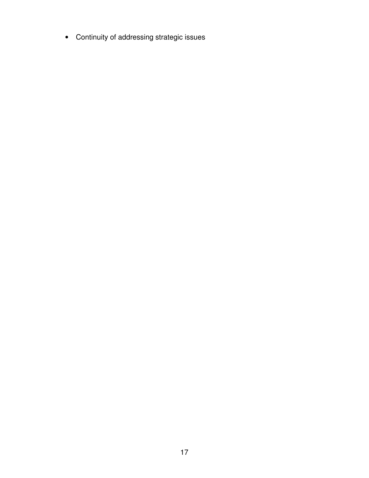• Continuity of addressing strategic issues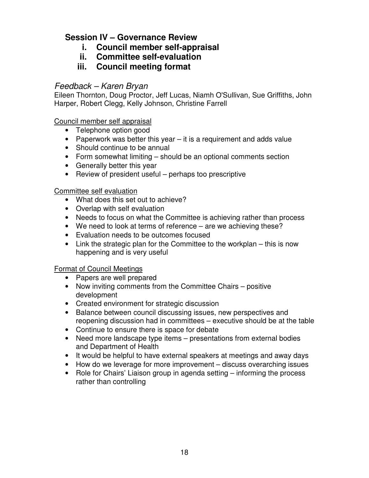- **i. Council member self-appraisal**
- **ii. Committee self-evaluation**
- **iii. Council meeting format**

### Feedback – Karen Bryan

Eileen Thornton, Doug Proctor, Jeff Lucas, Niamh O'Sullivan, Sue Griffiths, John Harper, Robert Clegg, Kelly Johnson, Christine Farrell

Council member self appraisal

- Telephone option good
- Paperwork was better this year it is a requirement and adds value
- Should continue to be annual
- Form somewhat limiting should be an optional comments section
- Generally better this year
- Review of president useful perhaps too prescriptive

### Committee self evaluation

- What does this set out to achieve?
- Overlap with self evaluation
- Needs to focus on what the Committee is achieving rather than process
- We need to look at terms of reference are we achieving these?
- Evaluation needs to be outcomes focused
- Link the strategic plan for the Committee to the workplan this is now happening and is very useful

### Format of Council Meetings

- Papers are well prepared
- Now inviting comments from the Committee Chairs positive development
- Created environment for strategic discussion
- Balance between council discussing issues, new perspectives and reopening discussion had in committees – executive should be at the table
- Continue to ensure there is space for debate
- Need more landscape type items presentations from external bodies and Department of Health
- It would be helpful to have external speakers at meetings and away days
- How do we leverage for more improvement discuss overarching issues
- Role for Chairs' Liaison group in agenda setting informing the process rather than controlling